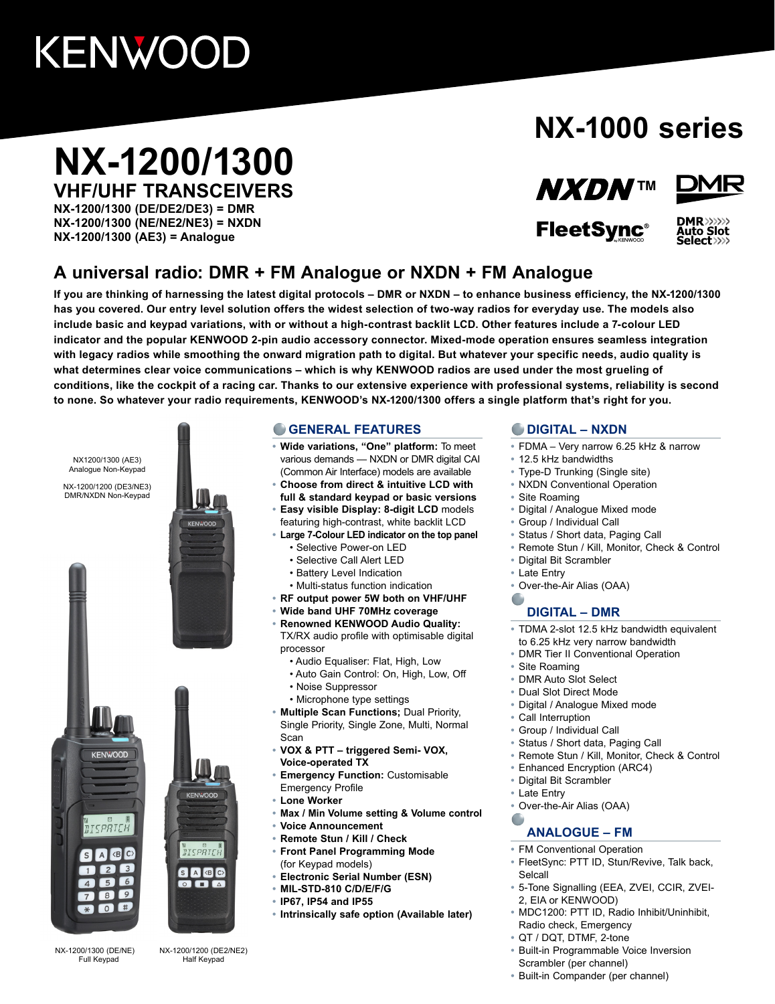## KENWOOD

# **NX-1200/1300**

**VHF/UHF TRANSCEIVERS NX-1200/1300 (DE/DE2/DE3) = DMR**

**NX-1200/1300 (NE/NE2/NE3) = NXDN NX-1200/1300 (AE3) = Analogue**

### **NX-1000 series**



**FleetSvnc®** 



### **A universal radio: DMR + FM Analogue or NXDN + FM Analogue**

**If you are thinking of harnessing the latest digital protocols – DMR or NXDN – to enhance business efficiency, the NX-1200/1300 has you covered. Our entry level solution offers the widest selection of two-way radios for everyday use. The models also include basic and keypad variations, with or without a high-contrast backlit LCD. Other features include a 7-colour LED indicator and the popular KENWOOD 2-pin audio accessory connector. Mixed-mode operation ensures seamless integration with legacy radios while smoothing the onward migration path to digital. But whatever your specific needs, audio quality is what determines clear voice communications – which is why KENWOOD radios are used under the most grueling of conditions, like the cockpit of a racing car. Thanks to our extensive experience with professional systems, reliability is second to none. So whatever your radio requirements, KENWOOD's NX-1200/1300 offers a single platform that's right for you.**

NX1200/1300 (AE3) Analogue Non-Keypad NX-1200/1200 (DE3/NE3) DMR/NXDN Non-Keypad





UU, KENWOOD BISPATCH  $S$   $A$   $\langle B | C \rangle$  $\circ$   $\bullet$   $\bullet$ 

#### **GENERAL FEATURES**

- **• Wide variations, "One" platform:** To meet various demands — NXDN or DMR digital CAI (Common Air Interface) models are available
- **• Choose from direct & intuitive LCD with full & standard keypad or basic versions**
- **• Easy visible Display: 8-digit LCD** models featuring high-contrast, white backlit LCD
- **• Large 7-Colour LED indicator on the top panel**
	- Selective Power-on LED
	- Selective Call Alert LED
	- Battery Level Indication
	- Multi-status function indication
- **• RF output power 5W both on VHF/UHF**
- **• Wide band UHF 70MHz coverage**
- **• Renowned KENWOOD Audio Quality:**

TX/RX audio profile with optimisable digital processor

- Audio Equaliser: Flat, High, Low
- Auto Gain Control: On, High, Low, Off
- Noise Suppressor
- Microphone type settings
- **• Multiple Scan Functions;** Dual Priority, Single Priority, Single Zone, Multi, Normal Scan
- **• VOX & PTT triggered Semi- VOX, Voice-operated TX**
- **• Emergency Function:** Customisable Emergency Profile
- **• Lone Worker**
- **• Max / Min Volume setting & Volume control**
- **• Voice Announcement**
- **• Remote Stun / Kill / Check**
- **• Front Panel Programming Mode** (for Keypad models)
- **• Electronic Serial Number (ESN)**
- **• MIL-STD-810 C/D/E/F/G**
- **• IP67, IP54 and IP55**
- **• Intrinsically safe option (Available later)**

#### **DIGITAL – NXDN**

- **•** FDMA Very narrow 6.25 kHz & narrow
- **•** 12.5 kHz bandwidths
- **•** Type-D Trunking (Single site)
- **•** NXDN Conventional Operation
- **•** Site Roaming
- **•** Digital / Analogue Mixed mode
- **•** Group / Individual Call
- **•** Status / Short data, Paging Call
- **•** Remote Stun / Kill, Monitor, Check & Control
- **•** Digital Bit Scrambler
- **•** Late Entry
- **•** Over-the-Air Alias (OAA)

#### **DIGITAL – DMR**

- **•** TDMA 2-slot 12.5 kHz bandwidth equivalent to 6.25 kHz very narrow bandwidth
- **•** DMR Tier II Conventional Operation
- **•** Site Roaming
- **•** DMR Auto Slot Select
- **•** Dual Slot Direct Mode
- **•** Digital / Analogue Mixed mode
- **•** Call Interruption
- **•** Group / Individual Call
- **•** Status / Short data, Paging Call
- **•** Remote Stun / Kill, Monitor, Check & Control
- **•** Enhanced Encryption (ARC4)
- **•** Digital Bit Scrambler
- **•** Late Entry
- **•** Over-the-Air Alias (OAA)

#### **ANALOGUE – FM**

- **•** FM Conventional Operation
- **•** FleetSync: PTT ID, Stun/Revive, Talk back, **Selcall**
- **•** 5-Tone Signalling (EEA, ZVEI, CCIR, ZVEI-2, EIA or KENWOOD)
- **•** MDC1200: PTT ID, Radio Inhibit/Uninhibit, Radio check, Emergency
- **•** QT / DQT, DTMF, 2-tone
- **•** Built-in Programmable Voice Inversion Scrambler (per channel)
- **•** Built-in Compander (per channel)

NX-1200/1300 (DE/NE) Full Keypad

NX-1200/1200 (DE2/NE2) Half Keypad